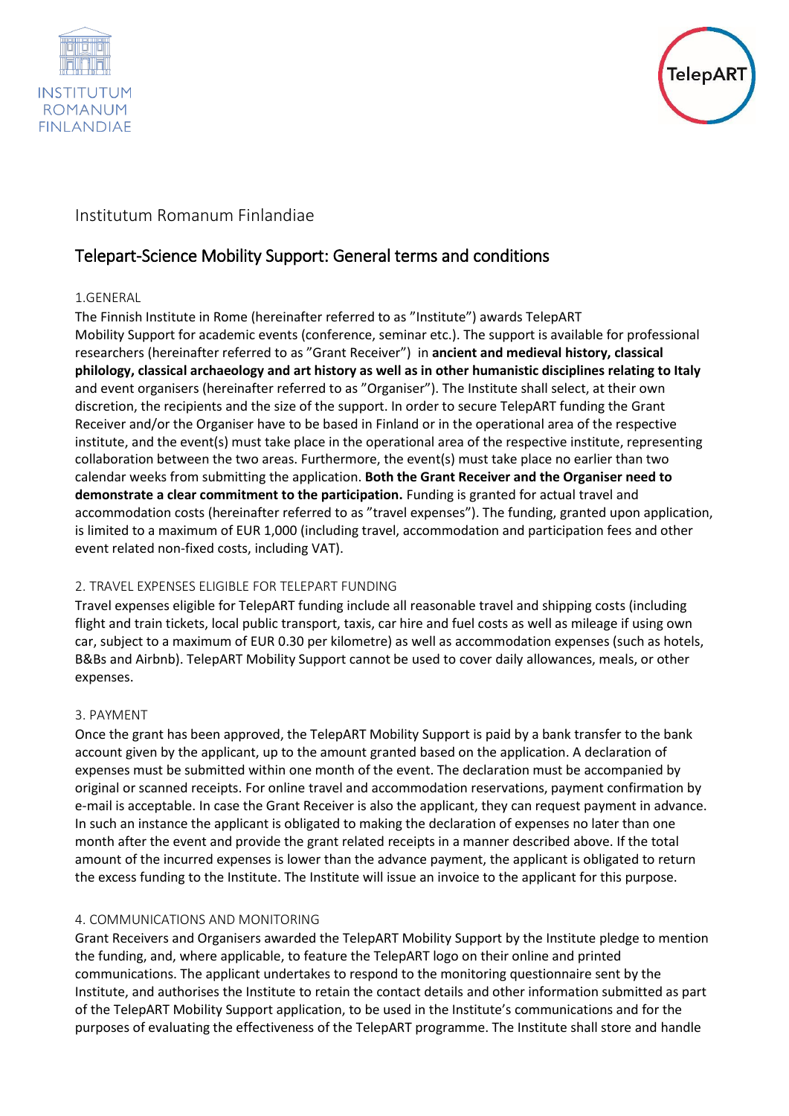



# Institutum Romanum Finlandiae

# Telepart-Science Mobility Support: General terms and conditions

# 1.GENERAL

The Finnish Institute in Rome (hereinafter referred to as "Institute") awards TelepART Mobility Support for academic events (conference, seminar etc.). The support is available for professional researchers (hereinafter referred to as "Grant Receiver") in **ancient and medieval history, classical philology, classical archaeology and art history as well as in other humanistic disciplines relating to Italy** and event organisers (hereinafter referred to as "Organiser"). The Institute shall select, at their own discretion, the recipients and the size of the support. In order to secure TelepART funding the Grant Receiver and/or the Organiser have to be based in Finland or in the operational area of the respective institute, and the event(s) must take place in the operational area of the respective institute, representing collaboration between the two areas. Furthermore, the event(s) must take place no earlier than two calendar weeks from submitting the application. **Both the Grant Receiver and the Organiser need to demonstrate a clear commitment to the participation.** Funding is granted for actual travel and accommodation costs (hereinafter referred to as "travel expenses"). The funding, granted upon application, is limited to a maximum of EUR 1,000 (including travel, accommodation and participation fees and other event related non-fixed costs, including VAT).

# 2. TRAVEL EXPENSES ELIGIBLE FOR TELEPART FUNDING

Travel expenses eligible for TelepART funding include all reasonable travel and shipping costs (including flight and train tickets, local public transport, taxis, car hire and fuel costs as well as mileage if using own car, subject to a maximum of EUR 0.30 per kilometre) as well as accommodation expenses (such as hotels, B&Bs and Airbnb). TelepART Mobility Support cannot be used to cover daily allowances, meals, or other expenses.

# 3. PAYMENT

Once the grant has been approved, the TelepART Mobility Support is paid by a bank transfer to the bank account given by the applicant, up to the amount granted based on the application. A declaration of expenses must be submitted within one month of the event. The declaration must be accompanied by original or scanned receipts. For online travel and accommodation reservations, payment confirmation by e-mail is acceptable. In case the Grant Receiver is also the applicant, they can request payment in advance. In such an instance the applicant is obligated to making the declaration of expenses no later than one month after the event and provide the grant related receipts in a manner described above. If the total amount of the incurred expenses is lower than the advance payment, the applicant is obligated to return the excess funding to the Institute. The Institute will issue an invoice to the applicant for this purpose.

# 4. COMMUNICATIONS AND MONITORING

Grant Receivers and Organisers awarded the TelepART Mobility Support by the Institute pledge to mention the funding, and, where applicable, to feature the TelepART logo on their online and printed communications. The applicant undertakes to respond to the monitoring questionnaire sent by the Institute, and authorises the Institute to retain the contact details and other information submitted as part of the TelepART Mobility Support application, to be used in the Institute's communications and for the purposes of evaluating the effectiveness of the TelepART programme. The Institute shall store and handle